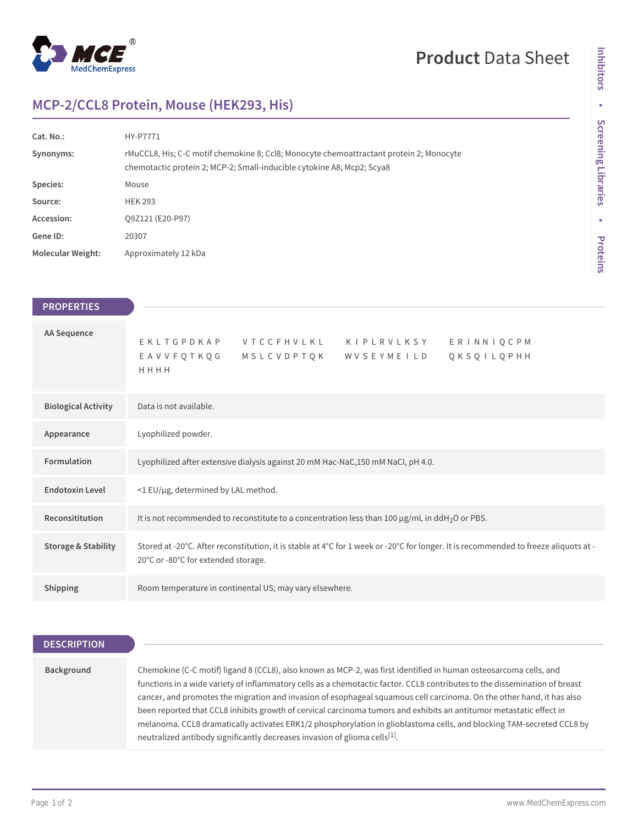

# **Product** Data Sheet

## **MCP-2/CCL8 Protein, Mouse (HEK293, His)**

| Cat. No.:                | HY-P7771                                                                                                                                                          |
|--------------------------|-------------------------------------------------------------------------------------------------------------------------------------------------------------------|
| Synonyms:                | rMuCCL8, His; C-C motif chemokine 8; Ccl8; Monocyte chemoattractant protein 2; Monocyte<br>chemotactic protein 2; MCP-2; Small-inducible cytokine A8; Mcp2; Scya8 |
| Species:                 | Mouse                                                                                                                                                             |
| Source:                  | <b>HEK 293</b>                                                                                                                                                    |
| Accession:               | Q9Z121 (E20-P97)                                                                                                                                                  |
| Gene ID:                 | 20307                                                                                                                                                             |
| <b>Molecular Weight:</b> | Approximately 12 kDa                                                                                                                                              |

| <b>PROPERTIES</b>              |                                                                                                                                                                             |
|--------------------------------|-----------------------------------------------------------------------------------------------------------------------------------------------------------------------------|
| AA Sequence                    | EKLTGPDKAP VTCCFHVLKL KIPLRVLKSY<br>ERINNIQCPM<br>MSLCVDPTQK WVSEYMEILD<br>QKSQILQPHH<br>EAVVFQTKQG<br>HHHH                                                                 |
| <b>Biological Activity</b>     | Data is not available.                                                                                                                                                      |
| Appearance                     | Lyophilized powder.                                                                                                                                                         |
| <b>Formulation</b>             | Lyophilized after extensive dialysis against 20 mM Hac-NaC,150 mM NaCl, pH 4.0.                                                                                             |
| <b>Endotoxin Level</b>         | <1 EU/µg, determined by LAL method.                                                                                                                                         |
| Reconsititution                | It is not recommended to reconstitute to a concentration less than 100 $\mu$ g/mL in ddH <sub>2</sub> O or PBS.                                                             |
| <b>Storage &amp; Stability</b> | Stored at -20°C. After reconstitution, it is stable at 4°C for 1 week or -20°C for longer. It is recommended to freeze aliquots at -<br>20°C or -80°C for extended storage. |
| <b>Shipping</b>                | Room temperature in continental US; may vary elsewhere.                                                                                                                     |

## **DESCRIPTION**

| Background | Chemokine (C-C motif) ligand 8 (CCL8), also known as MCP-2, was first identified in human osteosarcoma cells, and          |
|------------|----------------------------------------------------------------------------------------------------------------------------|
|            | functions in a wide variety of inflammatory cells as a chemotactic factor. CCL8 contributes to the dissemination of breast |
|            | cancer, and promotes the migration and invasion of esophageal squamous cell carcinoma. On the other hand, it has also      |
|            | been reported that CCL8 inhibits growth of cervical carcinoma tumors and exhibits an antitumor metastatic effect in        |
|            | melanoma. CCL8 dramatically activates ERK1/2 phosphorylation in glioblastoma cells, and blocking TAM-secreted CCL8 by      |
|            | neutralized antibody significantly decreases invasion of glioma cells <sup>[1]</sup> .                                     |